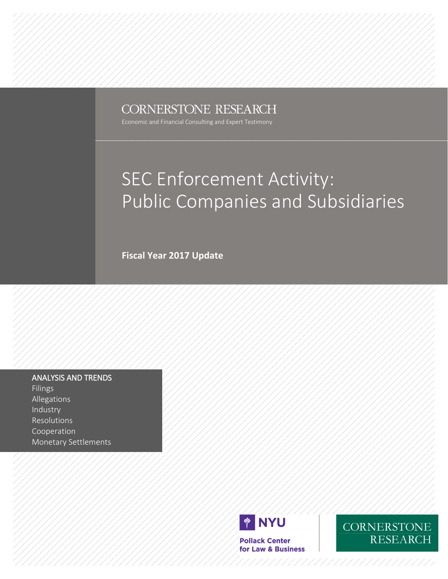### **CORNERSTONE RESEARCH**

Economic and Financial Consulting and Expert Testimony

### SEC Enforcement Activity: Public Companies and Subsidiaries

**Fiscal Year 2017 Update**

#### ANALYSIS AND TRENDS

Filings Allegations Industry Resolutions Cooperation Monetary Settlements



**Pollack Center** for Law & Business

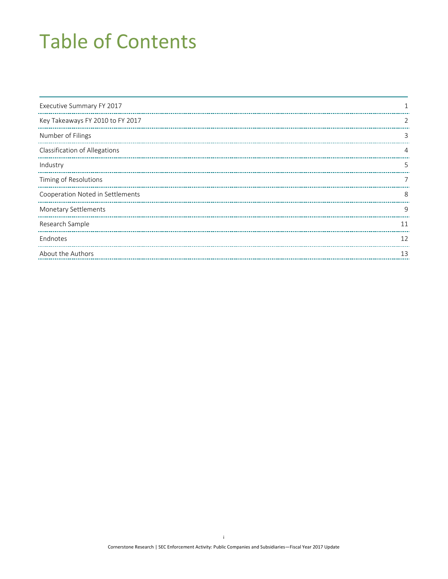## Table of Contents

| Executive Summary FY 2017        |    |
|----------------------------------|----|
| Key Takeaways FY 2010 to FY 2017 | 2  |
| Number of Filings                | 3  |
| Classification of Allegations    |    |
| Industry                         | 5  |
| Timing of Resolutions            |    |
| Cooperation Noted in Settlements | 8  |
| <b>Monetary Settlements</b>      | 9  |
| Research Sample                  | 11 |
| Endnotes                         | 12 |
| About the Authors                | 13 |
|                                  |    |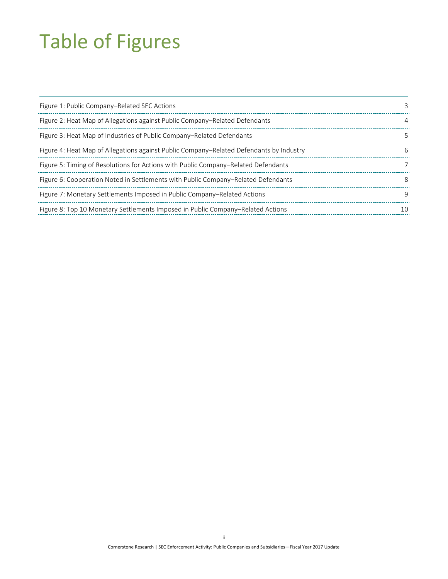## Table of Figures

| Figure 1: Public Company–Related SEC Actions                                            |    |
|-----------------------------------------------------------------------------------------|----|
| Figure 2: Heat Map of Allegations against Public Company–Related Defendants             | 4  |
| Figure 3: Heat Map of Industries of Public Company–Related Defendants                   | 5  |
| Figure 4: Heat Map of Allegations against Public Company–Related Defendants by Industry | 6  |
| Figure 5: Timing of Resolutions for Actions with Public Company–Related Defendants      |    |
| Figure 6: Cooperation Noted in Settlements with Public Company–Related Defendants       | 8  |
| Figure 7: Monetary Settlements Imposed in Public Company-Related Actions                | q  |
| Figure 8: Top 10 Monetary Settlements Imposed in Public Company–Related Actions         | 10 |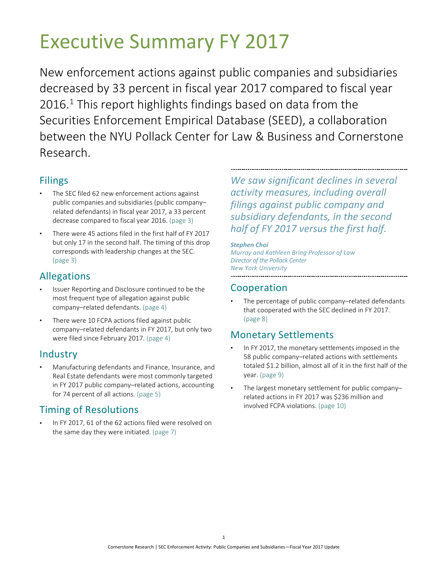## <span id="page-3-0"></span>Executive Summary FY 2017

<span id="page-3-1"></span>New enforcement actions against public companies and subsidiaries decreased by 33 percent in fiscal year 2017 compared to fiscal year 20[1](#page-3-1)6.<sup>1</sup> This report highlights findings based on data from the Securities Enforcement Empirical Database (SEED), a collaboration between the NYU Pollack Center for Law & Business and Cornerstone Research.

### Filings

- The SEC filed 62 new enforcement actions against public companies and subsidiaries (public company– related defendants) in fiscal year 2017, a 33 percent decrease compared to fiscal year 2016. (page [3\)](#page-5-0)
- There were 45 actions filed in the first half of FY 2017 but only 17 in the second half. The timing of this drop corresponds with leadership changes at the SEC. (page [3\)](#page-5-0)

### Allegations

- Issuer Reporting and Disclosure continued to be the most frequent type of allegation against public company–related defendants. (page [4\)](#page-6-0)
- There were 10 FCPA actions filed against public company–related defendants in FY 2017, but only two were filed since February 2017. (page [4\)](#page-6-0)

### Industry

• Manufacturing defendants and Finance, Insurance, and Real Estate defendants were most commonly targeted in FY 2017 public company–related actions, accounting for 74 percent of all actions. (page [5\)](#page-7-0)

### Timing of Resolutions

• In FY 2017, 61 of the 62 actions filed were resolved on the same day they were initiated. (page [7\)](#page-9-0)

*We saw significant declines in several activity measures, including overall filings against public company and subsidiary defendants, in the second half of FY 2017 versus the first half.*

#### *Stephen Choi*

*Murray and Kathleen Bring Professor of Law Director of the Pollack Center New York University* 

### Cooperation

The percentage of public company-related defendants that cooperated with the SEC declined in FY 2017. (page [8\)](#page-10-0)

### Monetary Settlements

- In FY 2017, the monetary settlements imposed in the 58 public company–related actions with settlements totaled \$1.2 billion, almost all of it in the first half of the year. (page [9\)](#page-11-0)
- The largest monetary settlement for public companyrelated actions in FY 2017 was \$236 million and involved FCPA violations. (page [10\)](#page-12-1)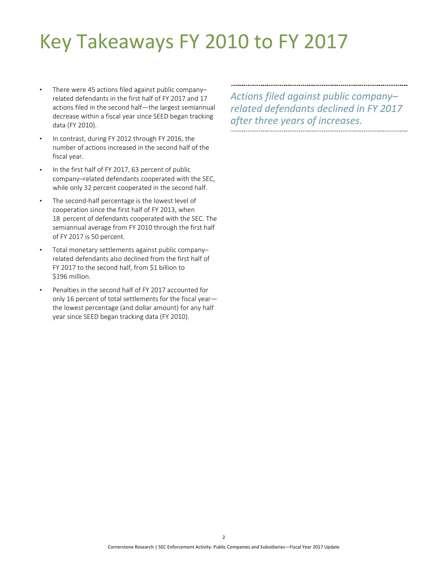## <span id="page-4-0"></span>Key Takeaways FY 2010 to FY 2017

- There were 45 actions filed against public company– related defendants in the first half of FY 2017 and 17 actions filed in the second half—the largest semiannual decrease within a fiscal year since SEED began tracking data (FY 2010).
- In contrast, during FY 2012 through FY 2016, the number of actions increased in the second half of the fiscal year.
- In the first half of FY 2017, 63 percent of public company–related defendants cooperated with the SEC, while only 32 percent cooperated in the second half.
- The second-half percentage is the lowest level of cooperation since the first half of FY 2013, when 18 percent of defendants cooperated with the SEC. The semiannual average from FY 2010 through the first half of FY 2017 is 50 percent.
- Total monetary settlements against public company– related defendants also declined from the first half of FY 2017 to the second half, from \$1 billion to \$196 million.
- Penalties in the second half of FY 2017 accounted for only 16 percent of total settlements for the fiscal year the lowest percentage (and dollar amount) for any half year since SEED began tracking data (FY 2010).

*Actions filed against public company– related defendants declined in FY 2017 after three years of increases.*

Cornerstone Research | SEC Enforcement Activity: Public Companies and Subsidiaries—Fiscal Year 2017 Update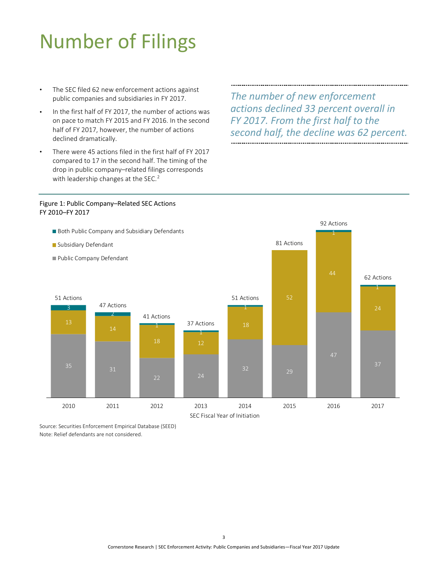## <span id="page-5-0"></span>Number of Filings

- The SEC filed 62 new enforcement actions against public companies and subsidiaries in FY 2017.
- <span id="page-5-2"></span>In the first half of FY 2017, the number of actions was on pace to match FY 2015 and FY 2016. In the second half of FY 2017, however, the number of actions declined dramatically.
- There were 45 actions filed in the first half of FY 2017 compared to 17 in the second half. The timing of the drop in public company–related filings corresponds with leadership changes at the SEC.<sup>[2](#page-5-2)</sup>

*The number of new enforcement actions declined 33 percent overall in FY 2017. From the first half to the second half, the decline was 62 percent.*

#### <span id="page-5-1"></span>Figure 1: Public Company–Related SEC Actions FY 2010–FY 2017



Source: Securities Enforcement Empirical Database (SEED) Note: Relief defendants are not considered.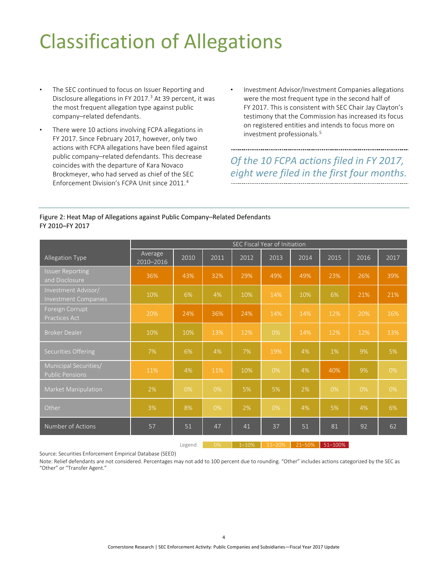## <span id="page-6-0"></span>Classification of Allegations

- The SEC continued to focus on Issuer Reporting and Disclosure allegations in FY 2017. [3](#page-6-2) At 39 percent, it was the most frequent allegation type against public company–related defendants.
- <span id="page-6-2"></span>There were 10 actions involving FCPA allegations in FY 2017. Since February 2017, however, only two actions with FCPA allegations have been filed against public company–related defendants. This decrease coincides with the departure of Kara Novaco Brockmeyer, who had served as chief of the SEC Enforcement Division's FCPA Unit since 2011.[4](#page-6-3)
- Investment Advisor/Investment Companies allegations were the most frequent type in the second half of FY 2017. This is consistent with SEC Chair Jay Clayton's testimony that the Commission has increased its focus on registered entities and intends to focus more on investment professionals.[5](#page-6-4)

### *Of the 10 FCPA actions filed in FY 2017, eight were filed in the first four months.*

#### <span id="page-6-3"></span><span id="page-6-1"></span>Figure 2: Heat Map of Allegations against Public Company–Related Defendants FY 2010–FY 2017

<span id="page-6-4"></span>

|                                                    | SEC Fiscal Year of Initiation |      |      |      |      |      |      |      |      |
|----------------------------------------------------|-------------------------------|------|------|------|------|------|------|------|------|
| Allegation Type                                    | Average<br>2010-2016          | 2010 | 2011 | 2012 | 2013 | 2014 | 2015 | 2016 | 2017 |
| <b>Issuer Reporting</b><br>and Disclosure          | 36%                           | 43%  | 32%  | 29%  | 49%  | 49%  | 23%  | 26%  | 39%  |
| Investment Advisor/<br><b>Investment Companies</b> | 10%                           | 6%   | 4%   | 10%  | 14%  | 10%  | 6%   | 21%  | 21%  |
| Foreign Corrupt<br>Practices Act                   | 20%                           | 24%  | 36%  | 24%  | 14%  | 14%  | 12%  | 20%  | 16%  |
| <b>Broker Dealer</b>                               | 10%                           | 10%  | 13%  | 12%  | 0%   | 14%  | 12%  | 12%  | 13%  |
| Securities Offering                                | 7%                            | 6%   | 4%   | 7%   | 19%  | 4%   | 1%   | 9%   | 5%   |
| Municipal Securities/<br><b>Public Pensions</b>    | 11%                           | 4%   | 11%  | 10%  | 0%   | 4%   | 40%  | 9%   | 0%   |
| Market Manipulation                                | 2%                            | 0%   | 0%   | 5%   | 5%   | 2%   | 0%   | 0%   | 0%   |
| Other                                              | 3%                            | 8%   | 0%   | 2%   | 0%   | 4%   | 5%   | 4%   | 6%   |
| Number of Actions                                  | 57                            | 51   | 47   | 41   | 37   | 51   | 81   | 92   | 62   |

Source: Securities Enforcement Empirical Database (SEED)

Note: Relief defendants are not considered. Percentages may not add to 100 percent due to rounding. "Other" includes actions categorized by the SEC as "Other" or "Transfer Agent."

Legend 0% 1–10% 11–20% 21–50% 51–100%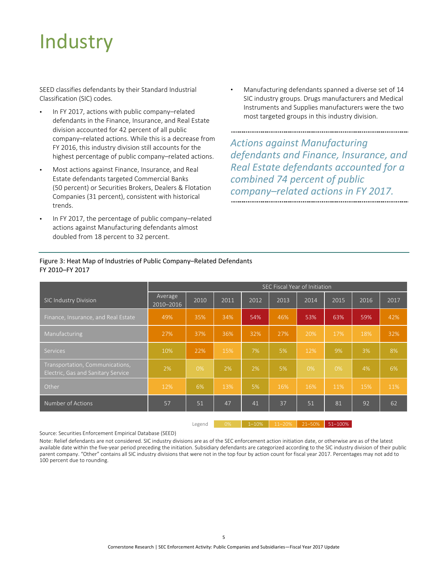## <span id="page-7-0"></span>**Industry**

SEED classifies defendants by their Standard Industrial Classification (SIC) codes.

- In FY 2017, actions with public company-related defendants in the Finance, Insurance, and Real Estate division accounted for 42 percent of all public company–related actions. While this is a decrease from FY 2016, this industry division still accounts for the highest percentage of public company–related actions.
- Most actions against Finance, Insurance, and Real Estate defendants targeted Commercial Banks (50 percent) or Securities Brokers, Dealers & Flotation Companies (31 percent), consistent with historical trends.
- In FY 2017, the percentage of public company-related actions against Manufacturing defendants almost doubled from 18 percent to 32 percent.

• Manufacturing defendants spanned a diverse set of 14 SIC industry groups. Drugs manufacturers and Medical Instruments and Supplies manufacturers were the two most targeted groups in this industry division.

*Actions against Manufacturing defendants and Finance, Insurance, and Real Estate defendants accounted for a combined 74 percent of public company–related actions in FY 2017.* 

|                                                                       | SEC Fiscal Year of Initiation |      |      |      |      |       |      |      |      |
|-----------------------------------------------------------------------|-------------------------------|------|------|------|------|-------|------|------|------|
| <b>SIC Industry Division</b>                                          | Average<br>2010-2016          | 2010 | 2011 | 2012 | 2013 | 2014  | 2015 | 2016 | 2017 |
| Finance, Insurance, and Real Estate                                   | 49%                           | 35%  | 34%  | 54%  | 46%  | 53%   | 63%  | 59%  | 42%  |
| Manufacturing                                                         | 27%                           | 37%  | 36%  | 32%  | 27%  | 20%   | 17%  | 18%  | 32%  |
| Services                                                              | 10%                           | 22%  | 15%  | 7%   | 5%   | 12%   | 9%   | 3%   | 8%   |
| Transportation, Communications,<br>Electric, Gas and Sanitary Service | 2%                            | 0%   | 2%   | 2%   | 5%   | $0\%$ | 0%   | 4%   | 6%   |
| Other                                                                 | 12%                           | 6%   | 13%  | 5%   | 16%  | 16%   | 11%  | 15%  | 11%  |
| Number of Actions                                                     | 57                            | 51   | 47   | 41   | 37   | 51    | 81   | 92   | 62   |

#### <span id="page-7-1"></span>Figure 3: Heat Map of Industries of Public Company–Related Defendants FY 2010–FY 2017

Source: Securities Enforcement Empirical Database (SEED)

Note: Relief defendants are not considered. SIC industry divisions are as of the SEC enforcement action initiation date, or otherwise are as of the latest available date within the five-year period preceding the initiation. Subsidiary defendants are categorized according to the SIC industry division of their public parent company. "Other" contains all SIC industry divisions that were not in the top four by action count for fiscal year 2017. Percentages may not add to 100 percent due to rounding.

Legend 0% 1–10% 11–20% 21–50% 51–100%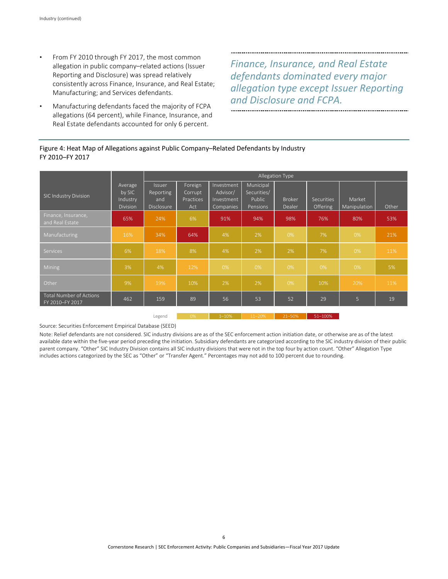- From FY 2010 through FY 2017, the most common allegation in public company–related actions (Issuer Reporting and Disclosure) was spread relatively consistently across Finance, Insurance, and Real Estate; Manufacturing; and Services defendants.
- Manufacturing defendants faced the majority of FCPA allegations (64 percent), while Finance, Insurance, and Real Estate defendants accounted for only 6 percent.

*Finance, Insurance, and Real Estate defendants dominated every major allegation type except Issuer Reporting and Disclosure and FCPA.*

#### <span id="page-8-0"></span>Figure 4: Heat Map of Allegations against Public Company–Related Defendants by Industry FY 2010–FY 2017

|                                                   |                                           | Allegation Type                                 |                                        |                                                   |                                                |                         |                                      |                        |       |
|---------------------------------------------------|-------------------------------------------|-------------------------------------------------|----------------------------------------|---------------------------------------------------|------------------------------------------------|-------------------------|--------------------------------------|------------------------|-------|
| SIC Industry Division                             | Average<br>by SIC<br>Industry<br>Division | <b>Issuer</b><br>Reporting<br>and<br>Disclosure | Foreign<br>Corrupt<br>Practices<br>Act | Investment<br>Advisor/<br>Investment<br>Companies | Municipal<br>Securities/<br>Public<br>Pensions | <b>Broker</b><br>Dealer | <b>Securities</b><br><b>Offering</b> | Market<br>Manipulation | Other |
| Finance, Insurance,<br>and Real Estate            | 65%                                       | 24%                                             | 6%                                     | 91%                                               | 94%                                            | 98%                     | 76%                                  | 80%                    | 53%   |
| Manufacturing                                     | 16%                                       | 34%                                             | 64%                                    | 4%                                                | 2%                                             | 0%                      | 7%                                   | 0%                     | 21%   |
| <b>Services</b>                                   | 6%                                        | 18%                                             | 8%                                     | 4%                                                | 2%                                             | 2%                      | 7%                                   | 0%                     | 11%   |
| <b>Mining</b>                                     | 3%                                        | 4%                                              | 12%                                    | 0%                                                | 0%                                             | 0%                      | 0%                                   | 0%                     | 5%    |
| Other                                             | 9%                                        | 19%                                             | 10%                                    | 2%                                                | 2%                                             | 0%                      | 10%                                  | 20%                    | 11%   |
| <b>Total Number of Actions</b><br>FY 2010-FY 2017 | 462                                       | 159                                             | 89                                     | 56                                                | 53                                             | 52                      | 29                                   | 5                      | 19    |

Legend 0% 1–10% 11–20% 21–50% 51–100%

Source: Securities Enforcement Empirical Database (SEED)

Note: Relief defendants are not considered. SIC industry divisions are as of the SEC enforcement action initiation date, or otherwise are as of the latest available date within the five-year period preceding the initiation. Subsidiary defendants are categorized according to the SIC industry division of their public parent company. "Other" SIC Industry Division contains all SIC industry divisions that were not in the top four by action count. "Other" Allegation Type includes actions categorized by the SEC as "Other" or "Transfer Agent." Percentages may not add to 100 percent due to rounding.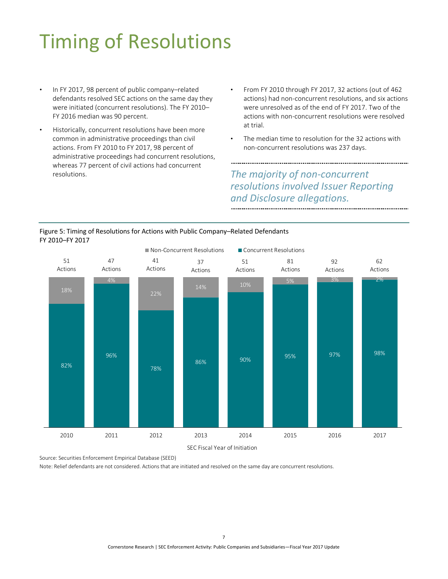# <span id="page-9-0"></span>Timing of Resolutions

- In FY 2017, 98 percent of public company-related defendants resolved SEC actions on the same day they were initiated (concurrent resolutions). The FY 2010– FY 2016 median was 90 percent.
- Historically, concurrent resolutions have been more common in administrative proceedings than civil actions. From FY 2010 to FY 2017, 98 percent of administrative proceedings had concurrent resolutions, whereas 77 percent of civil actions had concurrent resolutions.
- From FY 2010 through FY 2017, 32 actions (out of 462 actions) had non-concurrent resolutions, and six actions were unresolved as of the end of FY 2017. Two of the actions with non-concurrent resolutions were resolved at trial.
- The median time to resolution for the 32 actions with non-concurrent resolutions was 237 days.

### *The majority of non-concurrent resolutions involved Issuer Reporting and Disclosure allegations.*

<span id="page-9-1"></span>

SEC Fiscal Year of Initiation

Source: Securities Enforcement Empirical Database (SEED)

Note: Relief defendants are not considered. Actions that are initiated and resolved on the same day are concurrent resolutions.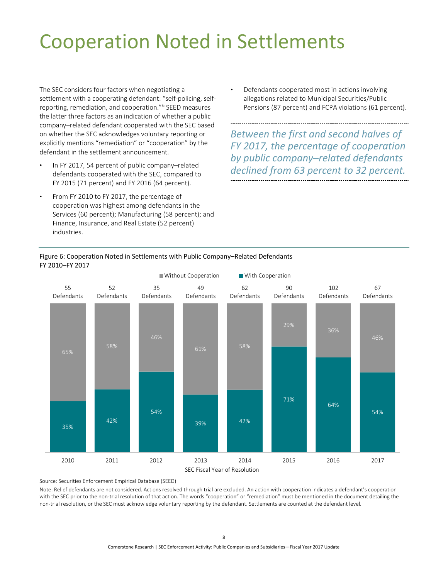## <span id="page-10-0"></span>Cooperation Noted in Settlements

The SEC considers four factors when negotiating a settlement with a cooperating defendant: "self-policing, selfreporting, remediation, and cooperation."[6](#page-10-2) SEED measures the latter three factors as an indication of whether a public company–related defendant cooperated with the SEC based on whether the SEC acknowledges voluntary reporting or explicitly mentions "remediation" or "cooperation" by the defendant in the settlement announcement.

- In FY 2017, 54 percent of public company-related defendants cooperated with the SEC, compared to FY 2015 (71 percent) and FY 2016 (64 percent).
- From FY 2010 to FY 2017, the percentage of cooperation was highest among defendants in the Services (60 percent); Manufacturing (58 percent); and Finance, Insurance, and Real Estate (52 percent) industries.

• Defendants cooperated most in actions involving allegations related to Municipal Securities/Public Pensions (87 percent) and FCPA violations (61 percent).

*Between the first and second halves of FY 2017, the percentage of cooperation by public company–related defendants declined from 63 percent to 32 percent.*



### <span id="page-10-2"></span><span id="page-10-1"></span>Figure 6: Cooperation Noted in Settlements with Public Company–Related Defendants

Source: Securities Enforcement Empirical Database (SEED)

Note: Relief defendants are not considered. Actions resolved through trial are excluded. An action with cooperation indicates a defendant's cooperation with the SEC prior to the non-trial resolution of that action. The words "cooperation" or "remediation" must be mentioned in the document detailing the non-trial resolution, or the SEC must acknowledge voluntary reporting by the defendant. Settlements are counted at the defendant level.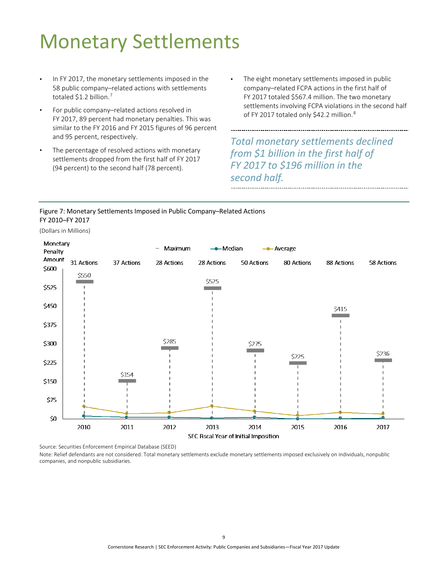## <span id="page-11-0"></span>Monetary Settlements

- In FY 2017, the monetary settlements imposed in the 58 public company–related actions with settlements totaled \$1.2 billion.<sup>[7](#page-12-2)</sup>
- For public company–related actions resolved in FY 2017, 89 percent had monetary penalties. This was similar to the FY 2016 and FY 2015 figures of 96 percent and 95 percent, respectively.
- The percentage of resolved actions with monetary settlements dropped from the first half of FY 2017 (94 percent) to the second half (78 percent).
- The eight monetary settlements imposed in public company–related FCPA actions in the first half of FY 2017 totaled \$567.4 million. The two monetary settlements involving FCPA violations in the second half of FY 2017 totaled only \$42.2 million.<sup>[8](#page-12-3)</sup>

*Total monetary settlements declined from \$1 billion in the first half of FY 2017 to \$196 million in the second half.*

#### <span id="page-11-1"></span>Figure 7: Monetary Settlements Imposed in Public Company–Related Actions FY 2010–FY 2017

(Dollars in Millions)



Source: Securities Enforcement Empirical Database (SEED)

Note: Relief defendants are not considered. Total monetary settlements exclude monetary settlements imposed exclusively on individuals, nonpublic companies, and nonpublic subsidiaries.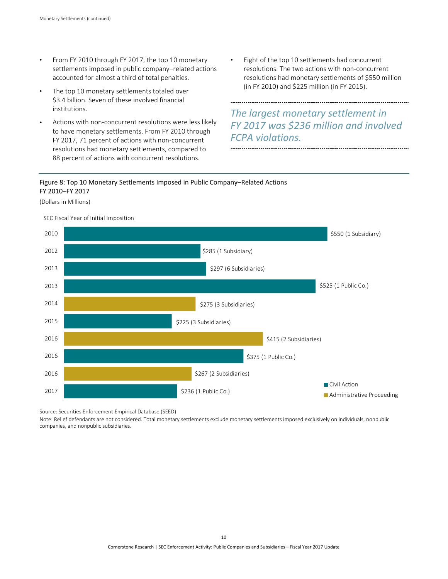- From FY 2010 through FY 2017, the top 10 monetary settlements imposed in public company–related actions accounted for almost a third of total penalties.
- The top 10 monetary settlements totaled over \$3.4 billion. Seven of these involved financial institutions.
- Actions with non-concurrent resolutions were less likely to have monetary settlements. From FY 2010 through FY 2017, 71 percent of actions with non-concurrent resolutions had monetary settlements, compared to 88 percent of actions with concurrent resolutions.
- Eight of the top 10 settlements had concurrent resolutions. The two actions with non-concurrent resolutions had monetary settlements of \$550 million (in FY 2010) and \$225 million (in FY 2015).

<span id="page-12-1"></span>

*The largest monetary settlement in FY 2017 was \$236 million and involved FCPA violations.* 

#### <span id="page-12-0"></span>Figure 8: Top 10 Monetary Settlements Imposed in Public Company–Related Actions FY 2010–FY 2017

(Dollars in Millions)

<span id="page-12-3"></span><span id="page-12-2"></span>

SEC Fiscal Year of Initial Imposition

Source: Securities Enforcement Empirical Database (SEED)

Note: Relief defendants are not considered. Total monetary settlements exclude monetary settlements imposed exclusively on individuals, nonpublic companies, and nonpublic subsidiaries.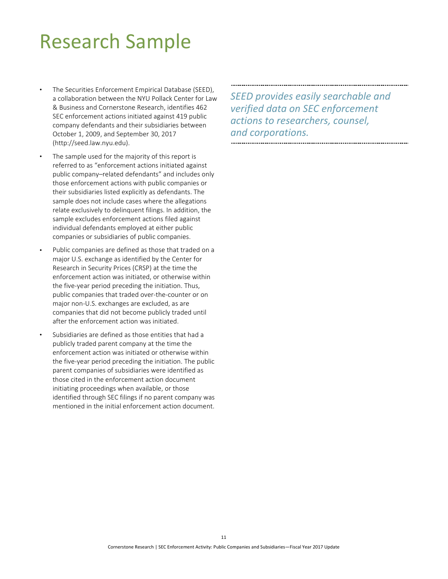### <span id="page-13-0"></span>Research Sample

- The Securities Enforcement Empirical Database (SEED), a collaboration between the NYU Pollack Center for Law & Business and Cornerstone Research, identifies 462 SEC enforcement actions initiated against 419 public company defendants and their subsidiaries between October 1, 2009, and September 30, 2017 (http://seed.law.nyu.edu).
- The sample used for the majority of this report is referred to as "enforcement actions initiated against public company–related defendants" and includes only those enforcement actions with public companies or their subsidiaries listed explicitly as defendants. The sample does not include cases where the allegations relate exclusively to delinquent filings. In addition, the sample excludes enforcement actions filed against individual defendants employed at either public companies or subsidiaries of public companies.
- Public companies are defined as those that traded on a major U.S. exchange as identified by the Center for Research in Security Prices (CRSP) at the time the enforcement action was initiated, or otherwise within the five-year period preceding the initiation. Thus, public companies that traded over-the-counter or on major non-U.S. exchanges are excluded, as are companies that did not become publicly traded until after the enforcement action was initiated.
- Subsidiaries are defined as those entities that had a publicly traded parent company at the time the enforcement action was initiated or otherwise within the five-year period preceding the initiation. The public parent companies of subsidiaries were identified as those cited in the enforcement action document initiating proceedings when available, or those identified through SEC filings if no parent company was mentioned in the initial enforcement action document.

*SEED provides easily searchable and verified data on SEC enforcement actions to researchers, counsel, and corporations.*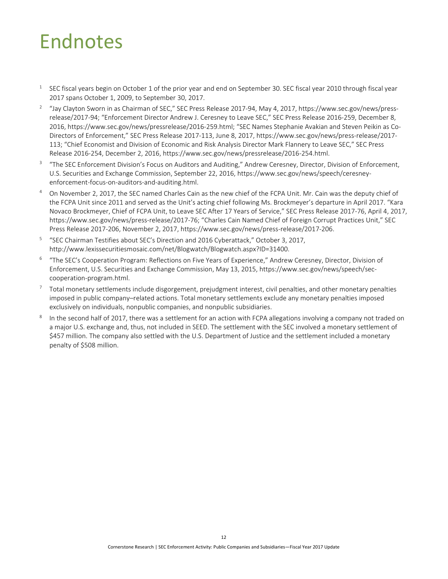### <span id="page-14-0"></span>Endnotes

- <sup>1</sup> SEC fiscal years begin on October 1 of the prior year and end on September 30. SEC fiscal year 2010 through fiscal year 2017 spans October 1, 2009, to September 30, 2017.
- <sup>2</sup> "Jay Clayton Sworn in as Chairman of SEC," SEC Press Release 2017-94, May 4, 2017, https://www.sec.gov/news/pressrelease/2017-94; "Enforcement Director Andrew J. Ceresney to Leave SEC," SEC Press Release 2016-259, December 8, 2016[, https://www.sec.gov/news/pressrelease/2016-259.html;](https://www.sec.gov/news/pressrelease/2016-259.html) "SEC Names Stephanie Avakian and Steven Peikin as Co-Directors of Enforcement," SEC Press Release 2017-113, June 8, 2017[, https://www.sec.gov/news/press-release/2017-](https://www.sec.gov/news/press-release/2017-113) [113;](https://www.sec.gov/news/press-release/2017-113) "Chief Economist and Division of Economic and Risk Analysis Director Mark Flannery to Leave SEC," SEC Press Release 2016-254, December 2, 2016, [https://www.sec.gov/news/pressrelease/2016-254.html.](https://www.sec.gov/news/pressrelease/2016-254.html)
- <sup>3</sup> "The SEC Enforcement Division's Focus on Auditors and Auditing," Andrew Ceresney, Director, Division of Enforcement, U.S. Securities and Exchange Commission, September 22, 2016, https://www.sec.gov/news/speech/ceresneyenforcement-focus-on-auditors-and-auditing.html.
- <sup>4</sup> On November 2, 2017, the SEC named Charles Cain as the new chief of the FCPA Unit. Mr. Cain was the deputy chief of the FCPA Unit since 2011 and served as the Unit's acting chief following Ms. Brockmeyer's departure in April 2017. "Kara Novaco Brockmeyer, Chief of FCPA Unit, to Leave SEC After 17 Years of Service," SEC Press Release 2017-76, April 4, 2017, [https://www.sec.gov/news/press-release/2017-76;](https://www.sec.gov/news/press-release/2017-76) "Charles Cain Named Chief of Foreign Corrupt Practices Unit," SEC Press Release 2017-206, November 2, 2017, https://www.sec.gov/news/press-release/2017-206.
- <sup>5</sup> "SEC Chairman Testifies about SEC's Direction and 2016 Cyberattack," October 3, 2017, http://www.lexissecuritiesmosaic.com/net/Blogwatch/Blogwatch.aspx?ID=31400.
- <sup>6</sup> "The SEC's Cooperation Program: Reflections on Five Years of Experience," Andrew Ceresney, Director, Division of Enforcement, U.S. Securities and Exchange Commission, May 13, 2015, https://www.sec.gov/news/speech/seccooperation-program.html.
- <sup>7</sup> Total monetary settlements include disgorgement, prejudgment interest, civil penalties, and other monetary penalties imposed in public company–related actions. Total monetary settlements exclude any monetary penalties imposed exclusively on individuals, nonpublic companies, and nonpublic subsidiaries.
- $8$  In the second half of 2017, there was a settlement for an action with FCPA allegations involving a company not traded on a major U.S. exchange and, thus, not included in SEED. The settlement with the SEC involved a monetary settlement of \$457 million. The company also settled with the U.S. Department of Justice and the settlement included a monetary penalty of \$508 million.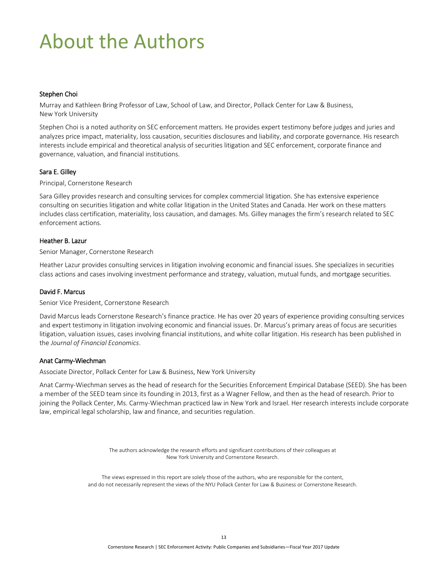## <span id="page-15-0"></span>About the Authors

#### Stephen Choi

Murray and Kathleen Bring Professor of Law, School of Law, and Director, Pollack Center for Law & Business, New York University

Stephen Choi is a noted authority on SEC enforcement matters. He provides expert testimony before judges and juries and analyzes price impact, materiality, loss causation, securities disclosures and liability, and corporate governance. His research interests include empirical and theoretical analysis of securities litigation and SEC enforcement, corporate finance and governance, valuation, and financial institutions.

#### [Sara](http://www.cornerstone.com/Staff/Ellen-Ryan) E. Gilley

Principal, Cornerstone Research

Sara Gilley provides research and consulting services for complex commercial litigation. She has extensive experience consulting on securities litigation and white collar litigation in the United States and Canada. Her work on these matters includes class certification, materiality, loss causation, and damages. Ms. Gilley manages the firm's research related to SEC enforcement actions.

#### Heather B. Lazur

Senior Manager, Cornerstone Research

Heather Lazur provides consulting services in litigation involving economic and financial issues. She specializes in securities class actions and cases involving investment performance and strategy, valuation, mutual funds, and mortgage securities.

#### [David](http://www.cornerstone.com/Staff/Laura-Simmons) F. Marcus

Senior Vice President, Cornerstone Research

David Marcus leads Cornerstone Research's finance practice. He has over 20 years of experience providing consulting services and expert testimony in litigation involving economic and financial issues. Dr. Marcus's primary areas of focus are securities litigation, valuation issues, cases involving financial institutions, and white collar litigation. His research has been published in the *Journal of Financial Economics*.

#### Anat Carmy-Wiechman

Associate Director, Pollack Center for Law & Business, New York University

Anat Carmy-Wiechman serves as the head of research for the Securities Enforcement Empirical Database (SEED). She has been a member of the SEED team since its founding in 2013, first as a Wagner Fellow, and then as the head of research. Prior to joining the Pollack Center, Ms. Carmy-Wiechman practiced law in New York and Israel. Her research interests include corporate law, empirical legal scholarship, law and finance, and securities regulation.

> The authors acknowledge the research efforts and significant contributions of their colleagues at New York University and Cornerstone Research.

The views expressed in this report are solely those of the authors, who are responsible for the content, and do not necessarily represent the views of the NYU Pollack Center for Law & Business or Cornerstone Research.